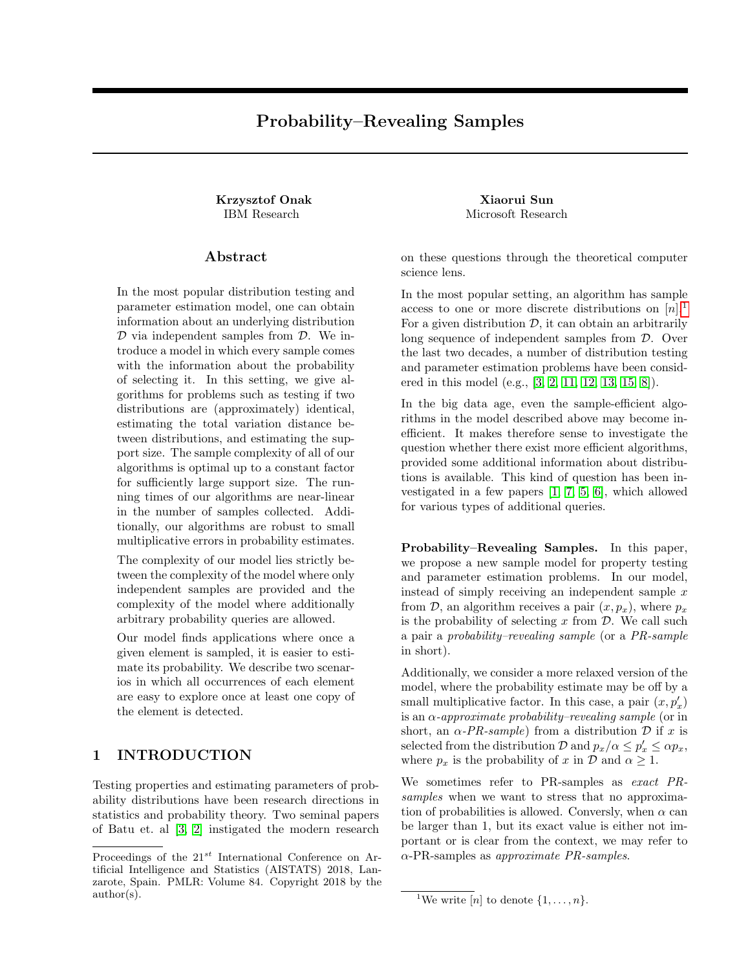# Probability–Revealing Samples

Krzysztof Onak Xiaorui Sun

# Abstract

In the most popular distribution testing and parameter estimation model, one can obtain information about an underlying distribution  $D$  via independent samples from  $D$ . We introduce a model in which every sample comes with the information about the probability of selecting it. In this setting, we give algorithms for problems such as testing if two distributions are (approximately) identical, estimating the total variation distance between distributions, and estimating the support size. The sample complexity of all of our algorithms is optimal up to a constant factor for sufficiently large support size. The running times of our algorithms are near-linear in the number of samples collected. Additionally, our algorithms are robust to small multiplicative errors in probability estimates.

The complexity of our model lies strictly between the complexity of the model where only independent samples are provided and the complexity of the model where additionally arbitrary probability queries are allowed.

Our model finds applications where once a given element is sampled, it is easier to estimate its probability. We describe two scenarios in which all occurrences of each element are easy to explore once at least one copy of the element is detected.

# 1 INTRODUCTION

Testing properties and estimating parameters of probability distributions have been research directions in statistics and probability theory. Two seminal papers of Batu et. al [\[3,](#page-8-0) [2\]](#page-8-1) instigated the modern research

IBM Research Microsoft Research

on these questions through the theoretical computer science lens.

In the most popular setting, an algorithm has sample access to one or more discrete distributions on  $[n].<sup>1</sup>$  $[n].<sup>1</sup>$  $[n].<sup>1</sup>$ For a given distribution  $D$ , it can obtain an arbitrarily long sequence of independent samples from D. Over the last two decades, a number of distribution testing and parameter estimation problems have been considered in this model (e.g., [\[3,](#page-8-0) [2,](#page-8-1) [11,](#page-8-2) [12,](#page-8-3) [13,](#page-8-4) [15,](#page-8-5) [8\]](#page-8-6)).

In the big data age, even the sample-efficient algorithms in the model described above may become inefficient. It makes therefore sense to investigate the question whether there exist more efficient algorithms, provided some additional information about distributions is available. This kind of question has been investigated in a few papers [\[1,](#page-7-0) [7,](#page-8-7) [5,](#page-8-8) [6\]](#page-8-9), which allowed for various types of additional queries.

Probability–Revealing Samples. In this paper, we propose a new sample model for property testing and parameter estimation problems. In our model, instead of simply receiving an independent sample  $x$ from  $\mathcal{D}$ , an algorithm receives a pair  $(x, p_x)$ , where  $p_x$ is the probability of selecting  $x$  from  $\mathcal{D}$ . We call such a pair a probability–revealing sample (or a PR-sample in short).

Additionally, we consider a more relaxed version of the model, where the probability estimate may be off by a small multiplicative factor. In this case, a pair  $(x, p'_x)$ is an  $\alpha$ -approximate probability–revealing sample (or in short, an  $\alpha$ -PR-sample) from a distribution D if x is selected from the distribution  $\mathcal{D}$  and  $p_x/\alpha \leq p'_x \leq \alpha p_x$ , where  $p_x$  is the probability of x in  $\mathcal D$  and  $\alpha \geq 1$ .

We sometimes refer to PR-samples as exact PRsamples when we want to stress that no approximation of probabilities is allowed. Conversly, when  $\alpha$  can be larger than 1, but its exact value is either not important or is clear from the context, we may refer to  $\alpha$ -PR-samples as approximate PR-samples.

Proceedings of the  $21^{st}$  International Conference on Artificial Intelligence and Statistics (AISTATS) 2018, Lanzarote, Spain. PMLR: Volume 84. Copyright 2018 by the author(s).

<span id="page-0-0"></span><sup>&</sup>lt;sup>1</sup>We write [n] to denote  $\{1, \ldots, n\}$ .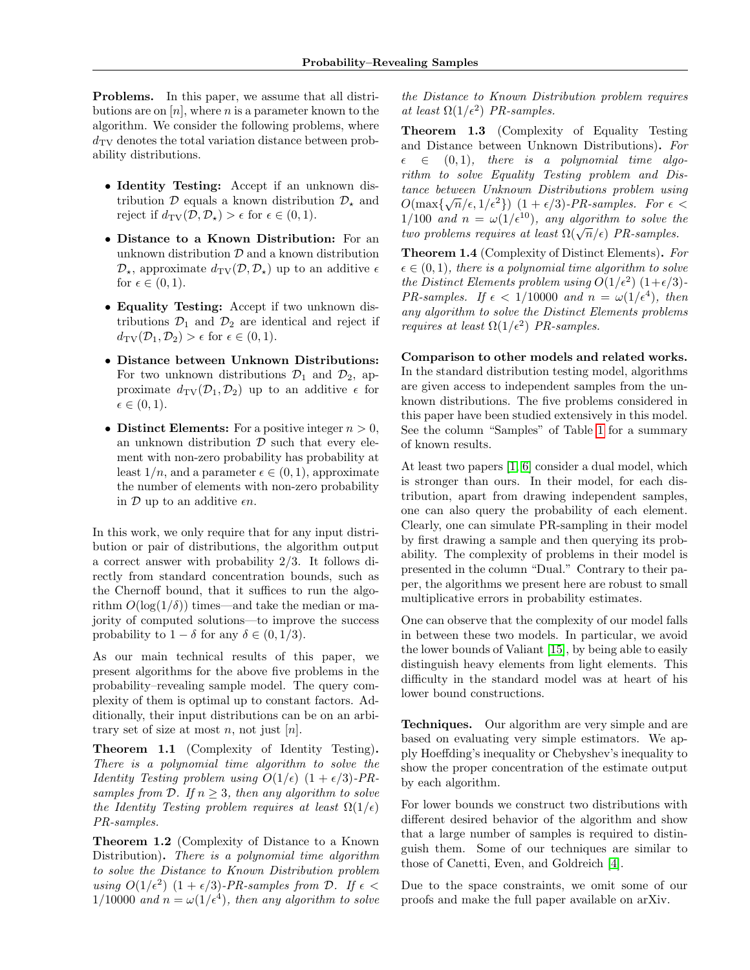Problems. In this paper, we assume that all distributions are on  $[n]$ , where n is a parameter known to the algorithm. We consider the following problems, where  $d_{\text{TV}}$  denotes the total variation distance between probability distributions.

- Identity Testing: Accept if an unknown distribution  $\mathcal{D}$  equals a known distribution  $\mathcal{D}_{\star}$  and reject if  $d_{\text{TV}}(\mathcal{D}, \mathcal{D}_\star) > \epsilon$  for  $\epsilon \in (0, 1)$ .
- Distance to a Known Distribution: For an unknown distribution  $D$  and a known distribution  $\mathcal{D}_{\star}$ , approximate  $d_{\text{TV}}(\mathcal{D}, \mathcal{D}_{\star})$  up to an additive  $\epsilon$ for  $\epsilon \in (0,1)$ .
- Equality Testing: Accept if two unknown distributions  $\mathcal{D}_1$  and  $\mathcal{D}_2$  are identical and reject if  $d_{\text{TV}}(\mathcal{D}_1, \mathcal{D}_2) > \epsilon$  for  $\epsilon \in (0, 1)$ .
- Distance between Unknown Distributions: For two unknown distributions  $\mathcal{D}_1$  and  $\mathcal{D}_2$ , approximate  $d_{\text{TV}}(\mathcal{D}_1, \mathcal{D}_2)$  up to an additive  $\epsilon$  for  $\epsilon \in (0, 1)$ .
- Distinct Elements: For a positive integer  $n > 0$ , an unknown distribution  $\mathcal D$  such that every element with non-zero probability has probability at least  $1/n$ , and a parameter  $\epsilon \in (0, 1)$ , approximate the number of elements with non-zero probability in  $\mathcal D$  up to an additive  $\epsilon n$ .

In this work, we only require that for any input distribution or pair of distributions, the algorithm output a correct answer with probability 2/3. It follows directly from standard concentration bounds, such as the Chernoff bound, that it suffices to run the algorithm  $O(\log(1/\delta))$  times—and take the median or majority of computed solutions—to improve the success probability to  $1 - \delta$  for any  $\delta \in (0, 1/3)$ .

As our main technical results of this paper, we present algorithms for the above five problems in the probability–revealing sample model. The query complexity of them is optimal up to constant factors. Additionally, their input distributions can be on an arbitrary set of size at most n, not just  $[n]$ .

<span id="page-1-0"></span>Theorem 1.1 (Complexity of Identity Testing). There is a polynomial time algorithm to solve the *Identity Testing problem using*  $O(1/\epsilon)$   $(1 + \epsilon/3)$ -PRsamples from D. If  $n \geq 3$ , then any algorithm to solve the Identity Testing problem requires at least  $\Omega(1/\epsilon)$ PR-samples.

Theorem 1.2 (Complexity of Distance to a Known Distribution). There is a polynomial time algorithm to solve the Distance to Known Distribution problem using  $O(1/\epsilon^2)$   $(1 + \epsilon/3)$ -PR-samples from  $\mathcal{D}$ . If  $\epsilon$  <  $1/10000$  and  $n = \omega(1/\epsilon^4)$ , then any algorithm to solve

the Distance to Known Distribution problem requires at least  $\Omega(1/\epsilon^2)$  PR-samples.

<span id="page-1-1"></span>Theorem 1.3 (Complexity of Equality Testing and Distance between Unknown Distributions). For  $\epsilon \in (0, 1)$ , there is a polynomial time algorithm to solve Equality Testing problem and Distance between Unknown Distributions problem using  $O(\max\{\sqrt{n}/\epsilon, 1/\epsilon^2\})$   $(1 + \epsilon/3)$ -PR-samples. For  $\epsilon$  <  $1/100$  and  $n = \omega(1/\epsilon^{10})$ , any algorithm to solve the  $t_1$  from and  $n = \omega(1/\epsilon)$ , any algorithm to solve the two problems requires at least  $\Omega(\sqrt{n}/\epsilon)$  PR-samples.

<span id="page-1-2"></span>Theorem 1.4 (Complexity of Distinct Elements). For  $\epsilon \in (0, 1)$ , there is a polynomial time algorithm to solve the Distinct Elements problem using  $O(1/\epsilon^2)$   $(1+\epsilon/3)$ -PR-samples. If  $\epsilon < 1/10000$  and  $n = \omega(1/\epsilon^4)$ , then any algorithm to solve the Distinct Elements problems requires at least  $\Omega(1/\epsilon^2)$  PR-samples.

# Comparison to other models and related works.

In the standard distribution testing model, algorithms are given access to independent samples from the unknown distributions. The five problems considered in this paper have been studied extensively in this model. See the column "Samples" of Table [1](#page-2-0) for a summary of known results.

At least two papers [\[1,](#page-7-0) [6\]](#page-8-9) consider a dual model, which is stronger than ours. In their model, for each distribution, apart from drawing independent samples, one can also query the probability of each element. Clearly, one can simulate PR-sampling in their model by first drawing a sample and then querying its probability. The complexity of problems in their model is presented in the column "Dual." Contrary to their paper, the algorithms we present here are robust to small multiplicative errors in probability estimates.

One can observe that the complexity of our model falls in between these two models. In particular, we avoid the lower bounds of Valiant [\[15\]](#page-8-5), by being able to easily distinguish heavy elements from light elements. This difficulty in the standard model was at heart of his lower bound constructions.

Techniques. Our algorithm are very simple and are based on evaluating very simple estimators. We apply Hoeffding's inequality or Chebyshev's inequality to show the proper concentration of the estimate output by each algorithm.

For lower bounds we construct two distributions with different desired behavior of the algorithm and show that a large number of samples is required to distinguish them. Some of our techniques are similar to those of Canetti, Even, and Goldreich [\[4\]](#page-8-10).

Due to the space constraints, we omit some of our proofs and make the full paper available on arXiv.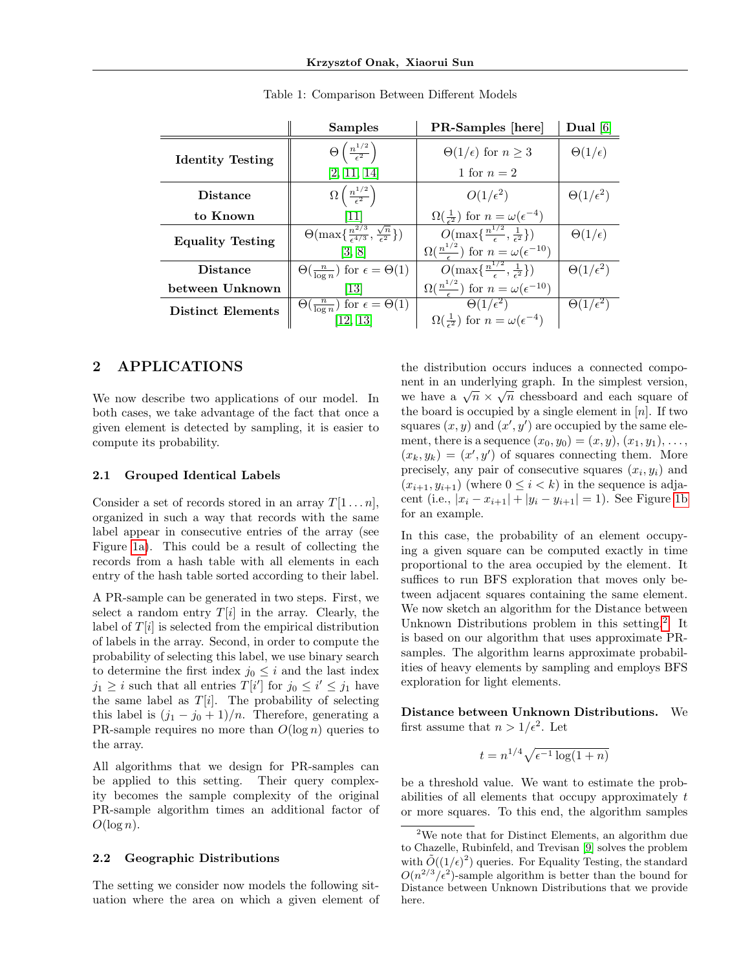<span id="page-2-0"></span>

|                          | <b>Samples</b>                                                             | <b>PR-Samples</b> [here]                                            | Dual $[6]$             |
|--------------------------|----------------------------------------------------------------------------|---------------------------------------------------------------------|------------------------|
| <b>Identity Testing</b>  | $\Theta\left(\frac{n^{1/2}}{\epsilon^2}\right)$                            | $\Theta(1/\epsilon)$ for $n \geq 3$                                 | $\Theta(1/\epsilon)$   |
|                          | [2, 11, 14]                                                                | 1 for $n=2$                                                         |                        |
| <b>Distance</b>          | $\Omega\left(\frac{n^{1/2}}{\epsilon^2}\right)$                            | $O(1/\epsilon^2)$                                                   | $\Theta(1/\epsilon^2)$ |
| to Known                 | 11                                                                         | $\Omega(\frac{1}{\epsilon^2})$ for $n=\omega(\epsilon^{-4})$        |                        |
| <b>Equality Testing</b>  | $\left(\frac{n^{2/3}}{\epsilon^{4/3}}, \frac{\sqrt{n}}{\epsilon^2}\right)$ | $O(\max\{\frac{n^{1/2}}{\epsilon},\frac{1}{\epsilon^2}\})$          | $\Theta(1/\epsilon)$   |
|                          | [3, 8]                                                                     | $\Omega(\frac{n^{1/2}}{\epsilon})$ for $n = \omega(\epsilon^{-10})$ |                        |
| <b>Distance</b>          | $\Theta(\frac{n}{\log n})$ for $\epsilon = \Theta(1)$                      | $O(\max\{\frac{n^{1/2}}{\epsilon},\frac{1}{\epsilon^2}\})$          | $\Theta(1/\epsilon^2)$ |
| between Unknown          | [13]                                                                       | $\Omega(\frac{n^{1/2}}{\epsilon})$ for $n = \omega(\epsilon^{-10})$ |                        |
| <b>Distinct Elements</b> | $\Theta(\frac{n}{\log n})$ for $\epsilon = \Theta(1)$                      | $\Theta(1/\epsilon^2)$                                              | $\Theta(1/\epsilon^2)$ |
|                          | [12, 13]                                                                   | $\Omega(\frac{1}{\epsilon^2})$ for $n = \omega(\epsilon^{-4})$      |                        |

Table 1: Comparison Between Different Models

# 2 APPLICATIONS

We now describe two applications of our model. In both cases, we take advantage of the fact that once a given element is detected by sampling, it is easier to compute its probability.

## 2.1 Grouped Identical Labels

Consider a set of records stored in an array  $T[1 \dots n]$ , organized in such a way that records with the same label appear in consecutive entries of the array (see Figure [1a\)](#page-3-0). This could be a result of collecting the records from a hash table with all elements in each entry of the hash table sorted according to their label.

A PR-sample can be generated in two steps. First, we select a random entry  $T[i]$  in the array. Clearly, the label of  $T[i]$  is selected from the empirical distribution of labels in the array. Second, in order to compute the probability of selecting this label, we use binary search to determine the first index  $j_0 \leq i$  and the last index  $j_1 \geq i$  such that all entries  $T[i']$  for  $j_0 \leq i' \leq j_1$  have the same label as  $T[i]$ . The probability of selecting this label is  $(j_1 - j_0 + 1)/n$ . Therefore, generating a PR-sample requires no more than  $O(\log n)$  queries to the array.

All algorithms that we design for PR-samples can be applied to this setting. Their query complexity becomes the sample complexity of the original PR-sample algorithm times an additional factor of  $O(\log n)$ .

#### 2.2 Geographic Distributions

The setting we consider now models the following situation where the area on which a given element of the distribution occurs induces a connected component in an underlying graph. In the simplest version, ment in an underlying graph. In the simplest version,<br>we have a  $\sqrt{n} \times \sqrt{n}$  chessboard and each square of the board is occupied by a single element in  $[n]$ . If two squares  $(x, y)$  and  $(x', y')$  are occupied by the same element, there is a sequence  $(x_0, y_0) = (x, y), (x_1, y_1), \ldots,$  $(x_k, y_k) = (x', y')$  of squares connecting them. More precisely, any pair of consecutive squares  $(x_i, y_i)$  and  $(x_{i+1}, y_{i+1})$  (where  $0 \leq i < k$ ) in the sequence is adjacent (i.e.,  $|x_i - x_{i+1}| + |y_i - y_{i+1}| = 1$ ). See Figure [1b](#page-3-0) for an example.

In this case, the probability of an element occupying a given square can be computed exactly in time proportional to the area occupied by the element. It suffices to run BFS exploration that moves only between adjacent squares containing the same element. We now sketch an algorithm for the Distance between Unknown Distributions problem in this setting.<sup>[2](#page-2-1)</sup> It is based on our algorithm that uses approximate PRsamples. The algorithm learns approximate probabilities of heavy elements by sampling and employs BFS exploration for light elements.

Distance between Unknown Distributions. We first assume that  $n > 1/\epsilon^2$ . Let

$$
t=n^{1/4}\sqrt{\epsilon^{-1}\log(1+n)}
$$

be a threshold value. We want to estimate the probabilities of all elements that occupy approximately t or more squares. To this end, the algorithm samples

<span id="page-2-1"></span> $2$ We note that for Distinct Elements, an algorithm due to Chazelle, Rubinfeld, and Trevisan [\[9\]](#page-8-12) solves the problem with  $\tilde{O}((1/\epsilon)^2)$  queries. For Equality Testing, the standard  $O(n^{2/3}/\epsilon^2)$ -sample algorithm is better than the bound for Distance between Unknown Distributions that we provide here.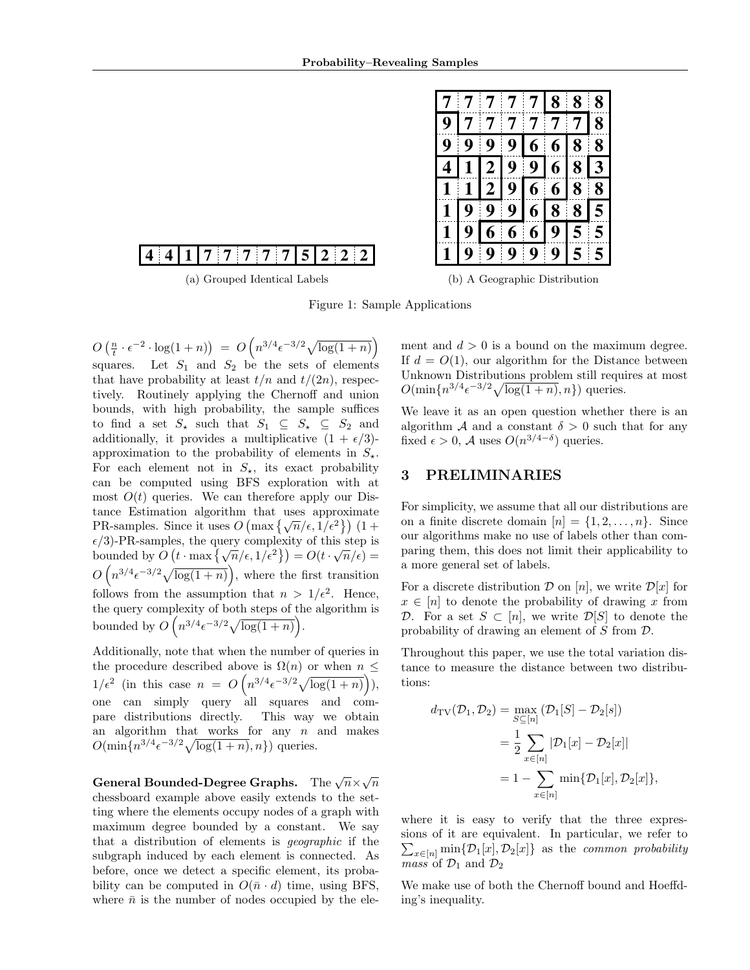|              | 7 <sup>7</sup>              | $\overline{7}$  | $\overline{7}$ |   | 7 8                                                                                                              | 8 | 8               |
|--------------|-----------------------------|-----------------|----------------|---|------------------------------------------------------------------------------------------------------------------|---|-----------------|
| 9            |                             |                 |                |   | $777777$                                                                                                         |   | 8               |
|              | $9\overline{9}\overline{9}$ |                 |                |   | 9 6 6 8 8                                                                                                        |   |                 |
|              |                             |                 |                |   | 4 1 2 9 9 6 8                                                                                                    |   | $\vert 3 \vert$ |
|              |                             |                 |                |   | $\overline{1}\,\overline{1}\,\overline{2}\,\overline{9}\,\overline{6}\,\overline{6}\,\overline{8}\,\overline{8}$ |   |                 |
|              | $1\sqrt{9}$ 9               |                 |                |   | 9 6 8 8                                                                                                          |   | $\overline{5}$  |
| $\mathbf{1}$ | $\overline{\mathbf{9}}$     | $\vert 6 \vert$ | 6 <sup>1</sup> | 6 | $9\overline{5}5$                                                                                                 |   |                 |
|              | 99                          |                 | $\overline{9}$ |   | $9 \,   \, 9 \,   \, 5 \,  $                                                                                     |   | 5               |

# <span id="page-3-0"></span>**4 4 1 7 7 7 5 2 2 2 7 7**

(a) Grouped Identical Labels

|  |  |  | (b) A Geographic Distribution |
|--|--|--|-------------------------------|
|--|--|--|-------------------------------|

Figure 1: Sample Applications

 $O\left(\frac{n}{t} \cdot \epsilon^{-2} \cdot \log(1+n)\right) = O\left(n^{3/4} \epsilon^{-3/2} \sqrt{\log(1+n)}\right)$ squares. Let  $S_1$  and  $S_2$  be the sets of elements that have probability at least  $t/n$  and  $t/(2n)$ , respectively. Routinely applying the Chernoff and union bounds, with high probability, the sample suffices to find a set  $S_{\star}$  such that  $S_1 \subseteq S_{\star} \subseteq S_2$  and additionally, it provides a multiplicative  $(1 + \epsilon/3)$ approximation to the probability of elements in  $S_{\star}$ . For each element not in  $S_{\star}$ , its exact probability can be computed using BFS exploration with at most  $O(t)$  queries. We can therefore apply our Distance Estimation algorithm that uses approximate value examples. Since it uses  $O(\max{\{\sqrt{n}/\epsilon, 1/\epsilon^2\}})(1+$  $\epsilon/3$ )-PR-samples, the query complexity of this step is bounded by  $O(t \cdot \max{\lbrace \sqrt{n}/\epsilon, 1/\epsilon^2 \rbrace}) = O(t \cdot \sqrt{n}/\epsilon) =$  $O(n^{3/4} \epsilon^{-3/2} \sqrt{\log(1+n)})$ , where the first transition follows from the assumption that  $n > 1/\epsilon^2$ . Hence, the query complexity of both steps of the algorithm is bounded by  $O(n^{3/4} \epsilon^{-3/2} \sqrt{\log(1+n)})$ .

Additionally, note that when the number of queries in the procedure described above is  $\Omega(n)$  or when  $n \leq$  $1/\epsilon^2$  (in this case  $n = O\left(n^{3/4} \epsilon^{-3/2} \sqrt{\log(1+n)}\right)$ ), one can simply query all squares and compare distributions directly. This way we obtain an algorithm that works for any  $n$  and makes  $O(\min\{n^{3/4}\epsilon^{-3/2}\sqrt{\log(1+n)},n\})$  queries.

General Bounded-Degree Graphs.  $\;$  The  $\sqrt{n}\times\sqrt{n}$ chessboard example above easily extends to the setting where the elements occupy nodes of a graph with maximum degree bounded by a constant. We say that a distribution of elements is geographic if the subgraph induced by each element is connected. As before, once we detect a specific element, its probability can be computed in  $O(\bar{n} \cdot d)$  time, using BFS, where  $\bar{n}$  is the number of nodes occupied by the element and  $d > 0$  is a bound on the maximum degree. If  $d = O(1)$ , our algorithm for the Distance between Unknown Distributions problem still requires at most  $O(\min\{n^{3/4}\epsilon^{-3/2}\sqrt{\log(1+n)},n\})$  queries.

We leave it as an open question whether there is an algorithm A and a constant  $\delta > 0$  such that for any fixed  $\epsilon > 0$ , A uses  $O(n^{3/4-\delta})$  queries.

# 3 PRELIMINARIES

For simplicity, we assume that all our distributions are on a finite discrete domain  $[n] = \{1, 2, \ldots, n\}$ . Since our algorithms make no use of labels other than comparing them, this does not limit their applicability to a more general set of labels.

For a discrete distribution  $\mathcal D$  on [n], we write  $\mathcal D[x]$  for  $x \in [n]$  to denote the probability of drawing x from D. For a set  $S \subset [n]$ , we write  $\mathcal{D}[S]$  to denote the probability of drawing an element of S from D.

Throughout this paper, we use the total variation distance to measure the distance between two distributions:

$$
d_{\text{TV}}(\mathcal{D}_1, \mathcal{D}_2) = \max_{S \subseteq [n]} (\mathcal{D}_1[S] - \mathcal{D}_2[s])
$$
  
= 
$$
\frac{1}{2} \sum_{x \in [n]} |\mathcal{D}_1[x] - \mathcal{D}_2[x]|
$$
  
= 
$$
1 - \sum_{x \in [n]} \min{\{\mathcal{D}_1[x], \mathcal{D}_2[x]\}},
$$

where it is easy to verify that the three expressions of it are equivalent. In particular, we refer to  $\sum_{x \in [n]} \min\{\mathcal{D}_1[x], \mathcal{D}_2[x]\}$  as the *common probability mass* of  $\mathcal{D}_1$  and  $\mathcal{D}_2$ 

We make use of both the Chernoff bound and Hoeffding's inequality.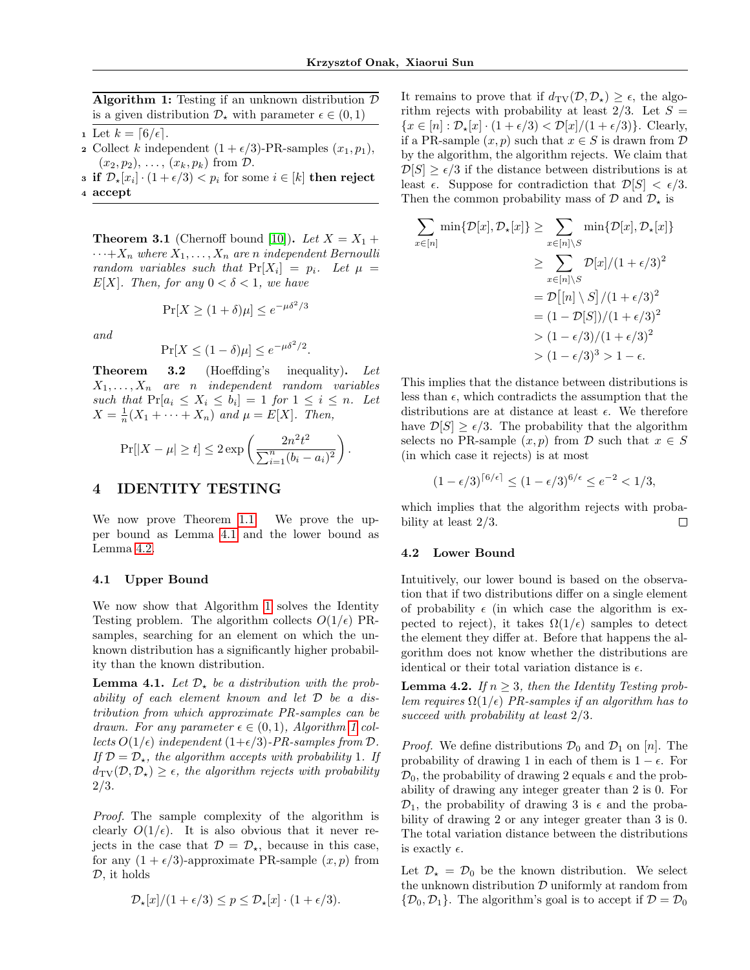**Algorithm 1:** Testing if an unknown distribution  $\mathcal{D}$ is a given distribution  $\mathcal{D}_{\star}$  with parameter  $\epsilon \in (0,1)$ 

- <span id="page-4-2"></span>1 Let  $k = \lceil 6/\epsilon \rceil$ .
- 2 Collect k independent  $(1 + \epsilon/3)$ -PR-samples  $(x_1, p_1)$ ,  $(x_2, p_2), \ldots, (x_k, p_k)$  from  $\mathcal{D}$ .
- **3** if  $\mathcal{D}_{\star}[x_i] \cdot (1 + \epsilon/3) < p_i$  for some  $i \in [k]$  then reject <sup>4</sup> accept

**Theorem 3.1** (Chernoff bound [\[10\]](#page-8-13)). Let  $X = X_1 +$  $\cdots + X_n$  where  $X_1, \ldots, X_n$  are n independent Bernoulli random variables such that  $Pr[X_i] = p_i$ . Let  $\mu =$ E[X]. Then, for any  $0 < \delta < 1$ , we have

$$
\Pr[X \ge (1+\delta)\mu] \le e^{-\mu \delta^2/3}
$$

and

$$
\Pr[X \le (1 - \delta)\mu] \le e^{-\mu \delta^2/2}.
$$

Theorem 3.2 (Hoeffding's inequality). Let  $X_1, \ldots, X_n$  are n independent random variables such that  $Pr[a_i \leq X_i \leq b_i] = 1$  for  $1 \leq i \leq n$ . Let  $X = \frac{1}{n}(X_1 + \cdots + X_n)$  and  $\mu = E[X]$ . Then,

$$
Pr[|X - \mu| \ge t] \le 2 \exp\left(\frac{2n^2t^2}{\sum_{i=1}^n (b_i - a_i)^2}\right).
$$

# 4 IDENTITY TESTING

We now prove Theorem [1.1.](#page-1-0) We prove the upper bound as Lemma [4.1](#page-4-0) and the lower bound as Lemma [4.2.](#page-4-1)

## 4.1 Upper Bound

We now show that Algorithm [1](#page-4-2) solves the Identity Testing problem. The algorithm collects  $O(1/\epsilon)$  PRsamples, searching for an element on which the unknown distribution has a significantly higher probability than the known distribution.

<span id="page-4-0"></span>**Lemma 4.1.** Let  $\mathcal{D}_*$  be a distribution with the probability of each element known and let D be a distribution from which approximate PR-samples can be drawn. For any parameter  $\epsilon \in (0,1)$ , Algorithm [1](#page-4-2) collects  $O(1/\epsilon)$  independent  $(1+\epsilon/3)$ -PR-samples from  $\mathcal{D}$ . If  $\mathcal{D} = \mathcal{D}_{\star}$ , the algorithm accepts with probability 1. If  $d_{\text{TV}}(\mathcal{D}, \mathcal{D}_\star) \geq \epsilon$ , the algorithm rejects with probability 2/3.

Proof. The sample complexity of the algorithm is clearly  $O(1/\epsilon)$ . It is also obvious that it never rejects in the case that  $\mathcal{D} = \mathcal{D}_{*}$ , because in this case, for any  $(1 + \epsilon/3)$ -approximate PR-sample  $(x, p)$  from D, it holds

$$
\mathcal{D}_{\star}[x]/(1+\epsilon/3) \le p \le \mathcal{D}_{\star}[x] \cdot (1+\epsilon/3).
$$

It remains to prove that if  $d_{\text{TV}}(\mathcal{D}, \mathcal{D}_\star) \geq \epsilon$ , the algorithm rejects with probability at least  $2/3$ . Let  $S =$  ${x \in [n]: \mathcal{D}_{\star}[x] \cdot (1+\epsilon/3) < \mathcal{D}[x]/(1+\epsilon/3)}$ . Clearly, if a PR-sample  $(x, p)$  such that  $x \in S$  is drawn from  $D$ by the algorithm, the algorithm rejects. We claim that  $\mathcal{D}[S] \geq \epsilon/3$  if the distance between distributions is at least  $\epsilon$ . Suppose for contradiction that  $\mathcal{D}[S] < \epsilon/3$ . Then the common probability mass of  $\mathcal{D}$  and  $\mathcal{D}_{\star}$  is

$$
\sum_{x \in [n]} \min\{\mathcal{D}[x], \mathcal{D}_\star[x]\} \ge \sum_{x \in [n] \setminus S} \min\{\mathcal{D}[x], \mathcal{D}_\star[x]\}
$$

$$
\ge \sum_{x \in [n] \setminus S} \mathcal{D}[x]/(1 + \epsilon/3)^2
$$

$$
= \mathcal{D}[[n] \setminus S]/(1 + \epsilon/3)^2
$$

$$
= (1 - \mathcal{D}[S])/(1 + \epsilon/3)^2
$$

$$
> (1 - \epsilon/3)/(1 + \epsilon/3)^2
$$

$$
> (1 - \epsilon/3)^3 > 1 - \epsilon.
$$

This implies that the distance between distributions is less than  $\epsilon$ , which contradicts the assumption that the distributions are at distance at least  $\epsilon$ . We therefore have  $\mathcal{D}[S] \geq \epsilon/3$ . The probability that the algorithm selects no PR-sample  $(x, p)$  from D such that  $x \in S$ (in which case it rejects) is at most

$$
(1 - \epsilon/3)^{6/\epsilon} \le (1 - \epsilon/3)^{6/\epsilon} \le e^{-2} < 1/3,
$$

which implies that the algorithm rejects with probability at least 2/3. □

### 4.2 Lower Bound

Intuitively, our lower bound is based on the observation that if two distributions differ on a single element of probability  $\epsilon$  (in which case the algorithm is expected to reject), it takes  $\Omega(1/\epsilon)$  samples to detect the element they differ at. Before that happens the algorithm does not know whether the distributions are identical or their total variation distance is  $\epsilon$ .

<span id="page-4-1"></span>**Lemma 4.2.** If  $n \geq 3$ , then the Identity Testing problem requires  $\Omega(1/\epsilon)$  PR-samples if an algorithm has to succeed with probability at least  $2/3$ .

*Proof.* We define distributions  $\mathcal{D}_0$  and  $\mathcal{D}_1$  on [n]. The probability of drawing 1 in each of them is  $1 - \epsilon$ . For  $\mathcal{D}_0$ , the probability of drawing 2 equals  $\epsilon$  and the probability of drawing any integer greater than 2 is 0. For  $\mathcal{D}_1$ , the probability of drawing 3 is  $\epsilon$  and the probability of drawing 2 or any integer greater than 3 is 0. The total variation distance between the distributions is exactly  $\epsilon$ .

Let  $\mathcal{D}_{\star} = \mathcal{D}_0$  be the known distribution. We select the unknown distribution  $\mathcal D$  uniformly at random from  $\{\mathcal{D}_0, \mathcal{D}_1\}.$  The algorithm's goal is to accept if  $\mathcal{D} = \mathcal{D}_0$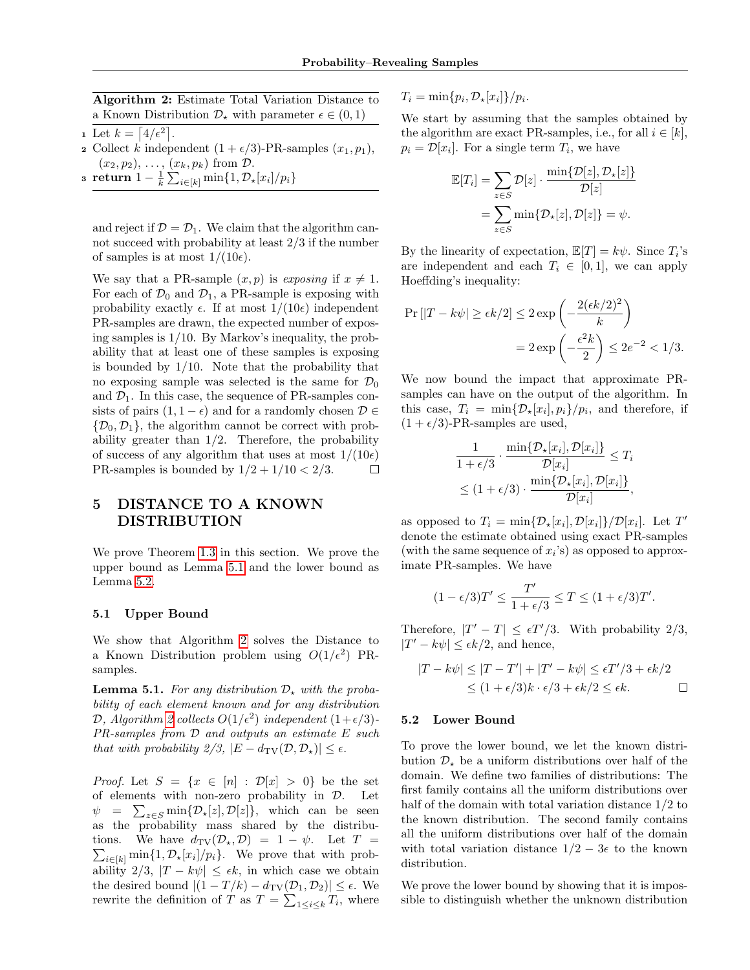Algorithm 2: Estimate Total Variation Distance to a Known Distribution  $\mathcal{D}_{\star}$  with parameter  $\epsilon \in (0,1)$ 

- <span id="page-5-1"></span>1 Let  $k = \lfloor 4/\epsilon^2 \rfloor$ .
- 2 Collect k independent  $(1 + \epsilon/3)$ -PR-samples  $(x_1, p_1)$ ,  $(x_2, p_2), \ldots, (x_k, p_k)$  from  $\mathcal{D}$ .
- $\texttt{s} \ \ \textbf{return} \ 1-\frac{1}{k}\sum_{i\in[k]}\min\{1,\mathcal{D}_\star[x_i]/p_i\}$

and reject if  $\mathcal{D} = \mathcal{D}_1$ . We claim that the algorithm cannot succeed with probability at least 2/3 if the number of samples is at most  $1/(10\epsilon)$ .

We say that a PR-sample  $(x, p)$  is exposing if  $x \neq 1$ . For each of  $\mathcal{D}_0$  and  $\mathcal{D}_1$ , a PR-sample is exposing with probability exactly  $\epsilon$ . If at most  $1/(10\epsilon)$  independent PR-samples are drawn, the expected number of exposing samples is 1/10. By Markov's inequality, the probability that at least one of these samples is exposing is bounded by 1/10. Note that the probability that no exposing sample was selected is the same for  $\mathcal{D}_0$ and  $\mathcal{D}_1$ . In this case, the sequence of PR-samples consists of pairs  $(1, 1 - \epsilon)$  and for a randomly chosen  $\mathcal{D} \in$  $\{\mathcal{D}_0, \mathcal{D}_1\}$ , the algorithm cannot be correct with probability greater than  $1/2$ . Therefore, the probability of success of any algorithm that uses at most  $1/(10\epsilon)$ PR-samples is bounded by  $1/2 + 1/10 < 2/3$ .  $\Box$ 

# 5 DISTANCE TO A KNOWN DISTRIBUTION

We prove Theorem [1.3](#page-1-1) in this section. We prove the upper bound as Lemma [5.1](#page-5-0) and the lower bound as Lemma [5.2.](#page-6-0)

### 5.1 Upper Bound

We show that Algorithm [2](#page-5-1) solves the Distance to a Known Distribution problem using  $O(1/\epsilon^2)$  PRsamples.

<span id="page-5-0"></span>**Lemma 5.1.** For any distribution  $\mathcal{D}_{\star}$  with the probability of each element known and for any distribution D, Algorithm [2](#page-5-1) collects  $O(1/\epsilon^2)$  independent  $(1+\epsilon/3)$ -PR-samples from D and outputs an estimate E such that with probability  $2/3$ ,  $|E - d_{TV}(D, D_{\star})| \leq \epsilon$ .

*Proof.* Let  $S = \{x \in [n] : \mathcal{D}[x] > 0\}$  be the set of elements with non-zero probability in D. Let  $\psi = \sum_{z \in S} \min\{\mathcal{D}_{\star}[z], \mathcal{D}[z]\},\$  which can be seen as the probability mass shared by the distribu- $\sum_{i\in[k]} \min\{1, \mathcal{D}_{\star}[x_i]/p_i\}.$  We prove that with probtions. We have  $d_{\text{TV}}(\mathcal{D}_\star, \mathcal{D}) = 1 - \psi$ . Let  $T =$ ability  $2/3$ ,  $|T - k\psi| \leq \epsilon k$ , in which case we obtain the desired bound  $|(1 - T/k) - d_{TV}(D_1, D_2)| \leq \epsilon$ . We rewrite the definition of T as  $T = \sum_{1 \leq i \leq k} T_i$ , where

 $T_i = \min\{p_i, \mathcal{D}_\star[x_i]\}/p_i.$ 

We start by assuming that the samples obtained by the algorithm are exact PR-samples, i.e., for all  $i \in [k]$ ,  $p_i = \mathcal{D}[x_i]$ . For a single term  $T_i$ , we have

$$
\mathbb{E}[T_i] = \sum_{z \in S} \mathcal{D}[z] \cdot \frac{\min\{\mathcal{D}[z], \mathcal{D}_\star[z]\}}{\mathcal{D}[z]}
$$

$$
= \sum_{z \in S} \min\{\mathcal{D}_\star[z], \mathcal{D}[z]\} = \psi.
$$

By the linearity of expectation,  $\mathbb{E}[T] = k\psi$ . Since  $T_i$ 's are independent and each  $T_i \in [0,1]$ , we can apply Hoeffding's inequality:

$$
\Pr\left[\left|T - k\psi\right| \ge \epsilon k/2\right] \le 2 \exp\left(-\frac{2(\epsilon k/2)^2}{k}\right)
$$

$$
= 2 \exp\left(-\frac{\epsilon^2 k}{2}\right) \le 2e^{-2} < 1/3.
$$

We now bound the impact that approximate PRsamples can have on the output of the algorithm. In this case,  $T_i = \min{\{\mathcal{D}_\star[x_i], p_i\}}/p_i$ , and therefore, if  $(1 + \epsilon/3)$ -PR-samples are used,

$$
\frac{1}{1+\epsilon/3} \cdot \frac{\min\{\mathcal{D}_\star[x_i], \mathcal{D}[x_i]\}}{\mathcal{D}[x_i]} \le T_i
$$

$$
\le (1+\epsilon/3) \cdot \frac{\min\{\mathcal{D}_\star[x_i], \mathcal{D}[x_i]\}}{\mathcal{D}[x_i]},
$$

as opposed to  $T_i = \min{\{\mathcal{D}_\star[x_i], \mathcal{D}[x_i]\}} / \mathcal{D}[x_i]$ . Let  $T'$ denote the estimate obtained using exact PR-samples (with the same sequence of  $x_i$ 's) as opposed to approximate PR-samples. We have

$$
(1-\epsilon/3)T' \leq \frac{T'}{1+\epsilon/3} \leq T \leq (1+\epsilon/3)T'.
$$

Therefore,  $|T' - T| \leq \epsilon T'/3$ . With probability 2/3,  $|T' - k\psi| \leq \epsilon k/2$ , and hence,

$$
|T - k\psi| \le |T - T'| + |T' - k\psi| \le \epsilon T'/3 + \epsilon k/2
$$
  
 
$$
\le (1 + \epsilon/3)k \cdot \epsilon/3 + \epsilon k/2 \le \epsilon k.
$$

## 5.2 Lower Bound

To prove the lower bound, we let the known distribution  $\mathcal{D}_{\star}$  be a uniform distributions over half of the domain. We define two families of distributions: The first family contains all the uniform distributions over half of the domain with total variation distance 1/2 to the known distribution. The second family contains all the uniform distributions over half of the domain with total variation distance  $1/2 - 3\epsilon$  to the known distribution.

We prove the lower bound by showing that it is impossible to distinguish whether the unknown distribution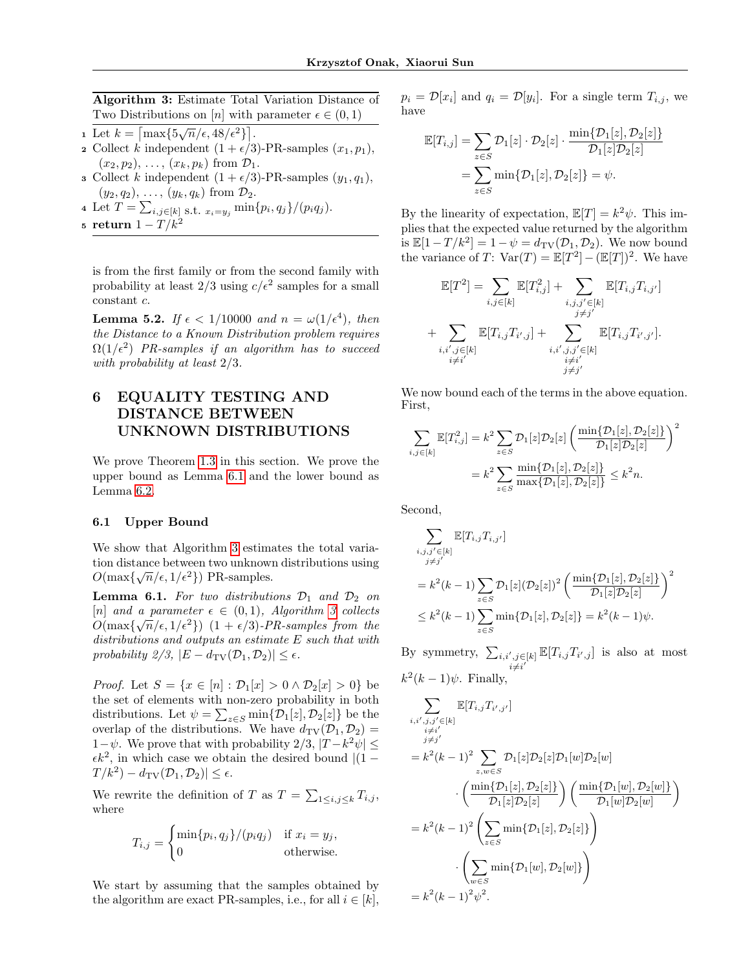Algorithm 3: Estimate Total Variation Distance of Two Distributions on [n] with parameter  $\epsilon \in (0,1)$ 

- <span id="page-6-2"></span> $\frac{1}{\text{Let } k = \lceil \max\{5\sqrt{n}/\epsilon, 48/\epsilon^2\} \rceil}.$
- 2 Collect k independent  $(1 + \epsilon/3)$ -PR-samples  $(x_1, p_1)$ ,  $(x_2, p_2), \ldots, (x_k, p_k)$  from  $\mathcal{D}_1$ .
- **3** Collect k independent  $(1 + \epsilon/3)$ -PR-samples  $(y_1, q_1)$ ,  $(y_2, q_2), \ldots, (y_k, q_k)$  from  $\mathcal{D}_2$ .
- 4 Let  $T = \sum_{i,j \in [k]} s.t. x_i = y_j \min\{p_i, q_j\}/(p_i q_j).$
- 5 return  $1 T/k^2$

is from the first family or from the second family with probability at least  $2/3$  using  $c/\epsilon^2$  samples for a small constant c.

<span id="page-6-0"></span>**Lemma 5.2.** If  $\epsilon < 1/10000$  and  $n = \omega(1/\epsilon^4)$ , then the Distance to a Known Distribution problem requires  $\Omega(1/\epsilon^2)$  PR-samples if an algorithm has to succeed with probability at least 2/3.

# 6 EQUALITY TESTING AND DISTANCE BETWEEN UNKNOWN DISTRIBUTIONS

We prove Theorem [1.3](#page-1-1) in this section. We prove the upper bound as Lemma [6.1](#page-6-1) and the lower bound as Lemma [6.2.](#page-7-1)

## 6.1 Upper Bound

We show that Algorithm [3](#page-6-2) estimates the total variation distance between two unknown distributions using  $O(\max\{\sqrt{n}/\epsilon, 1/\epsilon^2\})$  PR-samples.

<span id="page-6-1"></span>**Lemma 6.1.** For two distributions  $\mathcal{D}_1$  and  $\mathcal{D}_2$  on [n] and a parameter  $\epsilon \in (0,1)$ , Algorithm [3](#page-6-2) collects  $O(\max\{\sqrt{n}/\epsilon, 1/\epsilon^2\})$   $(1 + \epsilon/3)$ -PR-samples from the distributions and outputs an estimate E such that with probability  $2/3$ ,  $|E - d_{TV}(D_1, D_2)| \leq \epsilon$ .

*Proof.* Let  $S = \{x \in [n] : \mathcal{D}_1[x] > 0 \land \mathcal{D}_2[x] > 0\}$  be the set of elements with non-zero probability in both distributions. Let  $\psi = \sum_{z \in S} \min\{\mathcal{D}_1[z], \mathcal{D}_2[z]\}$  be the overlap of the distributions. We have  $d_{\text{TV}}(\mathcal{D}_1, \mathcal{D}_2)$  =  $1-\psi$ . We prove that with probability  $2/3$ ,  $|T-k^2\psi| \leq$  $\epsilon k^2$ , in which case we obtain the desired bound  $|(1 - \epsilon k)^2|$  $T/k^2$ ) –  $d_{\text{TV}}(\mathcal{D}_1, \mathcal{D}_2)| \leq \epsilon$ .

We rewrite the definition of T as  $T = \sum_{1 \leq i,j \leq k} T_{i,j}$ , where

$$
T_{i,j} = \begin{cases} \min\{p_i, q_j\} / (p_i q_j) & \text{if } x_i = y_j, \\ 0 & \text{otherwise.} \end{cases}
$$

We start by assuming that the samples obtained by the algorithm are exact PR-samples, i.e., for all  $i \in [k]$ ,

 $p_i = \mathcal{D}[x_i]$  and  $q_i = \mathcal{D}[y_i]$ . For a single term  $T_{i,j}$ , we have

$$
\mathbb{E}[T_{i,j}] = \sum_{z \in S} \mathcal{D}_1[z] \cdot \mathcal{D}_2[z] \cdot \frac{\min\{\mathcal{D}_1[z], \mathcal{D}_2[z]\}}{\mathcal{D}_1[z]\mathcal{D}_2[z]} \n= \sum_{z \in S} \min\{\mathcal{D}_1[z], \mathcal{D}_2[z]\} = \psi.
$$

By the linearity of expectation,  $\mathbb{E}[T] = k^2 \psi$ . This implies that the expected value returned by the algorithm is  $\mathbb{E}[1 - T/k^2] = 1 - \psi = d_{\text{TV}}(\mathcal{D}_1, \mathcal{D}_2)$ . We now bound the variance of T:  $Var(T) = \mathbb{E}[T^2] - (\mathbb{E}[T])^2$ . We have

$$
\mathbb{E}[T^{2}] = \sum_{i,j \in [k]} \mathbb{E}[T_{i,j}^{2}] + \sum_{\substack{i,j,j' \in [k] \\ j \neq j'}} \mathbb{E}[T_{i,j}T_{i,j'}]
$$
  
+ 
$$
\sum_{\substack{i,i',j \in [k] \\ i \neq i'}} \mathbb{E}[T_{i,j}T_{i',j}] + \sum_{\substack{i,i',j,j' \in [k] \\ i \neq i'}} \mathbb{E}[T_{i,j}T_{i',j'}].
$$

We now bound each of the terms in the above equation. First,

$$
\sum_{i,j \in [k]} \mathbb{E}[T_{i,j}^2] = k^2 \sum_{z \in S} \mathcal{D}_1[z] \mathcal{D}_2[z] \left( \frac{\min\{\mathcal{D}_1[z], \mathcal{D}_2[z]\}}{\mathcal{D}_1[z] \mathcal{D}_2[z]} \right)^2
$$
  
= 
$$
k^2 \sum_{z \in S} \frac{\min\{\mathcal{D}_1[z], \mathcal{D}_2[z]\}}{\max\{\mathcal{D}_1[z], \mathcal{D}_2[z]\}} \le k^2 n.
$$

Second,

$$
\sum_{\substack{i,j,j' \in [k] \\ j \neq j'}} \mathbb{E}[T_{i,j}T_{i,j'}]
$$
\n
$$
= k^2(k-1) \sum_{z \in S} \mathcal{D}_1[z] (\mathcal{D}_2[z])^2 \left( \frac{\min\{\mathcal{D}_1[z], \mathcal{D}_2[z]\}}{\mathcal{D}_1[z] \mathcal{D}_2[z]} \right)^2
$$
\n
$$
\leq k^2(k-1) \sum_{z \in S} \min\{\mathcal{D}_1[z], \mathcal{D}_2[z]\} = k^2(k-1)\psi.
$$

By symmetry,  $\sum_{i,i',j\in[k]} \mathbb{E}[T_{i,j}T_{i',j}]$  is also at most  $i\neq i$  $\prime$  $k^2(k-1)\psi$ . Finally,

$$
\sum_{\substack{i,i',j,j' \in [k] \\ i \neq i' \\ j \neq j'}} \mathbb{E}[T_{i,j}T_{i',j'}]
$$
\n
$$
= k^{2}(k-1)^{2} \sum_{z,w \in S} \mathcal{D}_{1}[z] \mathcal{D}_{2}[z] \mathcal{D}_{1}[w] \mathcal{D}_{2}[w]
$$
\n
$$
\cdot \left( \frac{\min\{\mathcal{D}_{1}[z], \mathcal{D}_{2}[z]\}}{\mathcal{D}_{1}[z] \mathcal{D}_{2}[z]} \right) \left( \frac{\min\{\mathcal{D}_{1}[w], \mathcal{D}_{2}[w]\}}{\mathcal{D}_{1}[w] \mathcal{D}_{2}[w]} \right)
$$
\n
$$
= k^{2}(k-1)^{2} \left( \sum_{z \in S} \min\{\mathcal{D}_{1}[z], \mathcal{D}_{2}[z]\} \right)
$$
\n
$$
\cdot \left( \sum_{w \in S} \min\{\mathcal{D}_{1}[w], \mathcal{D}_{2}[w]\} \right)
$$
\n
$$
= k^{2}(k-1)^{2} \psi^{2}.
$$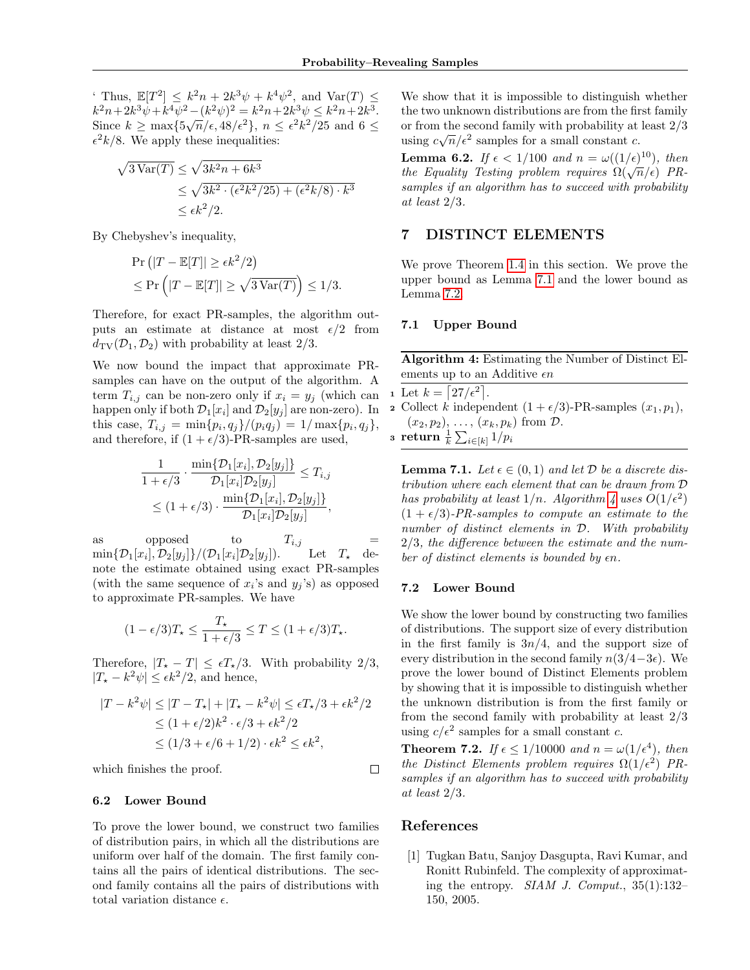Thus,  $\mathbb{E}[T^2] \leq k^2n + 2k^3\psi + k^4\psi^2$ , and  $\text{Var}(T) \leq$  $k^2n+2k^3\psi+k^4\psi^2-(k^2\psi)^2=k^2n+2k^3\psi\leq k^2n+2k^3.$ Since  $k \ge \max\{5\sqrt{n}/\epsilon, 48/\epsilon^2\}, n \le \epsilon^2 k^2/25$  and  $6 \le$  $\epsilon^2 k/8$ . We apply these inequalities:

$$
\sqrt{3 \operatorname{Var}(T)} \le \sqrt{3k^2 n + 6k^3}
$$
  
\n
$$
\le \sqrt{3k^2 \cdot (\epsilon^2 k^2 / 25) + (\epsilon^2 k / 8) \cdot k^3}
$$
  
\n
$$
\le \epsilon k^2 / 2.
$$

By Chebyshev's inequality,

$$
\begin{aligned} &\Pr\left(|T - \mathbb{E}[T]| \ge \epsilon k^2/2\right) \\ &\le \Pr\left(|T - \mathbb{E}[T]| \ge \sqrt{3\operatorname{Var}(T)}\right) \le 1/3. \end{aligned}
$$

Therefore, for exact PR-samples, the algorithm outputs an estimate at distance at most  $\epsilon/2$  from  $d_{\text{TV}}(\mathcal{D}_1, \mathcal{D}_2)$  with probability at least  $2/3$ .

We now bound the impact that approximate PRsamples can have on the output of the algorithm. A term  $T_{i,j}$  can be non-zero only if  $x_i = y_j$  (which can happen only if both  $\mathcal{D}_1[x_i]$  and  $\mathcal{D}_2[y_j]$  are non-zero). In this case,  $T_{i,j} = \min\{p_i, q_j\} / (p_i q_j) = 1 / \max\{p_i, q_j\},\$ and therefore, if  $(1 + \epsilon/3)$ -PR-samples are used,

$$
\frac{1}{1+\epsilon/3} \cdot \frac{\min\{\mathcal{D}_1[x_i], \mathcal{D}_2[y_j]\}}{\mathcal{D}_1[x_i]\mathcal{D}_2[y_j]} \le T_{i,j}
$$
  
 
$$
\le (1+\epsilon/3) \cdot \frac{\min\{\mathcal{D}_1[x_i], \mathcal{D}_2[y_j]\}}{\mathcal{D}_1[x_i]\mathcal{D}_2[y_j]},
$$

as opposed to  $T_{i,j}$  $\min\{\mathcal{D}_1[x_i],\mathcal{D}_2[y_j]\}/(\mathcal{D}_1[x_i])$ Let  $T_*$  denote the estimate obtained using exact PR-samples (with the same sequence of  $x_i$ 's and  $y_j$ 's) as opposed to approximate PR-samples. We have

$$
(1 - \epsilon/3)T_{\star} \le \frac{T_{\star}}{1 + \epsilon/3} \le T \le (1 + \epsilon/3)T_{\star}.
$$

Therefore,  $|T_{\star} - T| \leq \epsilon T_{\star}/3$ . With probability 2/3,  $|T_{\star} - k^2 \psi| \leq \epsilon k^2 / 2$ , and hence,

$$
|T - k^2 \psi| \le |T - T_{\star}| + |T_{\star} - k^2 \psi| \le \epsilon T_{\star}/3 + \epsilon k^2/2
$$
  
\n
$$
\le (1 + \epsilon/2)k^2 \cdot \epsilon/3 + \epsilon k^2/2
$$
  
\n
$$
\le (1/3 + \epsilon/6 + 1/2) \cdot \epsilon k^2 \le \epsilon k^2,
$$

which finishes the proof.

#### 6.2 Lower Bound

To prove the lower bound, we construct two families of distribution pairs, in which all the distributions are uniform over half of the domain. The first family contains all the pairs of identical distributions. The second family contains all the pairs of distributions with total variation distance  $\epsilon$ .

We show that it is impossible to distinguish whether the two unknown distributions are from the first family or from the second family with probability at least 2/3 or from the second family with probability at using  $c\sqrt{n}/\epsilon^2$  samples for a small constant c.

<span id="page-7-1"></span>**Lemma 6.2.** If  $\epsilon < 1/100$  and  $n = \omega((1/\epsilon)^{10})$ , then **Example 1.** Let  $\alpha$  be  $\alpha$  be the Equality Testing problem requires  $\Omega(\sqrt{n}/\epsilon)$  PRsamples if an algorithm has to succeed with probability at least 2/3.

# 7 DISTINCT ELEMENTS

We prove Theorem [1.4](#page-1-2) in this section. We prove the upper bound as Lemma [7.1](#page-7-2) and the lower bound as Lemma [7.2.](#page-7-3)

### 7.1 Upper Bound

Algorithm 4: Estimating the Number of Distinct Elements up to an Additive  $\epsilon n$ 

- <span id="page-7-4"></span>1 Let  $k = \lfloor 27/\epsilon^2 \rfloor$ .
- 2 Collect k independent  $(1 + \epsilon/3)$ -PR-samples  $(x_1, p_1)$ ,  $(x_2, p_2), \ldots, (x_k, p_k)$  from  $\mathcal{D}$ .

 $\displaystyle{\mathrm{s}\;\;\mathrm{return}\;\frac{1}{k}\sum_{i\in[k]}1/p_i}$ 

<span id="page-7-2"></span>**Lemma 7.1.** Let  $\epsilon \in (0,1)$  and let  $D$  be a discrete distribution where each element that can be drawn from D has probability at least  $1/n$ . Algorithm [4](#page-7-4) uses  $O(1/\epsilon^2)$  $(1 + \epsilon/3)$ -PR-samples to compute an estimate to the number of distinct elements in  $D$ . With probability 2/3, the difference between the estimate and the number of distinct elements is bounded by  $\epsilon n$ .

#### 7.2 Lower Bound

We show the lower bound by constructing two families of distributions. The support size of every distribution in the first family is  $3n/4$ , and the support size of every distribution in the second family  $n(3/4-3\epsilon)$ . We prove the lower bound of Distinct Elements problem by showing that it is impossible to distinguish whether the unknown distribution is from the first family or from the second family with probability at least 2/3 using  $c/\epsilon^2$  samples for a small constant c.

<span id="page-7-3"></span>**Theorem 7.2.** If  $\epsilon \leq 1/10000$  and  $n = \omega(1/\epsilon^4)$ , then the Distinct Elements problem requires  $\Omega(1/\epsilon^2)$  PRsamples if an algorithm has to succeed with probability at least 2/3.

## References

 $\Box$ 

<span id="page-7-0"></span>[1] Tugkan Batu, Sanjoy Dasgupta, Ravi Kumar, and Ronitt Rubinfeld. The complexity of approximating the entropy. *SIAM J. Comput.*,  $35(1):132-$ 150, 2005.